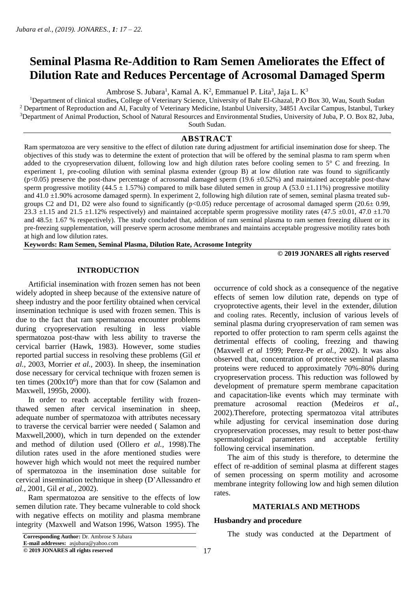# **Seminal Plasma Re-Addition to Ram Semen Ameliorates the Effect of Dilution Rate and Reduces Percentage of Acrosomal Damaged Sperm**

Ambrose S. Jubara<sup>1</sup>, Kamal A. K<sup>2</sup>, Emmanuel P. Lita<sup>3</sup>, Jaja L. K<sup>3</sup>

<sup>1</sup>Department of clinical studies**,** College of Veterinary Science, University of Bahr El-Ghazal, P.O Box 30, Wau, South Sudan <sup>2</sup> Department of Reproduction and AI, Faculty of Veterinary Medicine, Istanbul University, 34851 Avcilar Campus, Istanbul, Turkey <sup>3</sup>Department of Animal Production, School of Natural Resources and Environmental Studies, University of Juba, P. O. Box 82, Juba, South Sudan.

## **ABSTRACT**

Ram spermatozoa are very sensitive to the effect of dilution rate during adjustment for artificial insemination dose for sheep. The objectives of this study was to determine the extent of protection that will be offered by the seminal plasma to ram sperm when added to the cryopreservation diluent, following low and high dilution rates before cooling semen to 5° C and freezing. In experiment 1, pre-cooling dilution with seminal plasma extender (group B) at low dilution rate was found to significantly  $(p<0.05)$  preserve the post-thaw percentage of acrosomal damaged sperm (19.6  $\pm 0.52$ %) and maintained acceptable post-thaw sperm progressive motility (44.5  $\pm$  1.57%) compared to milk base diluted semen in group A (53.0  $\pm$ 1.11%) progressive motility and 41.0 ±1.90% acrosome damaged sperm). In experiment 2, following high dilution rate of semen, seminal plasma treated subgroups C2 and D1, D2 were also found to significantly ( $p<0.05$ ) reduce percentage of acrosomal damaged sperm (20.6 $\pm$  0.99, 23.3  $\pm$ 1.15 and 21.5  $\pm$ 1.12% respectively) and maintained acceptable sperm progressive motility rates (47.5  $\pm$ 0.01, 47.0  $\pm$ 1.70 and  $48.5 \pm 1.67$  % respectively). The study concluded that, addition of ram seminal plasma to ram semen freezing diluent or its pre-freezing supplementation, will preserve sperm acrosome membranes and maintains acceptable progressive motility rates both at high and low dilution rates.

**Keywords: Ram Semen, Seminal Plasma, Dilution Rate, Acrosome Integrity**

#### **© 2019 JONARES all rights reserved**

## **INTRODUCTION**

 Artificial insemination with frozen semen has not been widely adopted in sheep because of the extensive nature of sheep industry and the poor fertility obtained when cervical insemination technique is used with frozen semen. This is due to the fact that ram spermatozoa encounter problems during cryopreservation resulting in less viable spermatozoa post-thaw with less ability to traverse the cervical barrier (Hawk, 1983). However, some studies reported partial success in resolving these problems (Gil *et al.,* 2003, Morrier *et al.,* 2003). In sheep, the insemination dose necessary for cervical technique with frozen semen is ten times  $(200x10<sup>6</sup>)$  more than that for cow (Salamon and Maxwell, 1995b, 2000).

 In order to reach acceptable fertility with frozenthawed semen after cervical insemination in sheep, adequate number of spermatozoa with attributes necessary to traverse the cervical barrier were needed ( Salamon and Maxwell,2000), which in turn depended on the extender and method of dilution used (Ollero *et al.,* 1998).The dilution rates used in the afore mentioned studies were however high which would not meet the required number of spermatozoa in the insemination dose suitable for cervical insemination technique in sheep (D'Allessandro *et al.,* 2001, Gil *et al.,* 2002).

 Ram spermatozoa are sensitive to the effects of low semen dilution rate. They became vulnerable to cold shock with negative effects on motility and plasma membrane integrity (Maxwell and Watson 1996, Watson 1995). The

occurrence of cold shock as a consequence of the negative effects of semen low dilution rate, depends on type of cryoprotective agents, their level in the extender, dilution and cooling rates. Recently, inclusion of various levels of seminal plasma during cryopreservation of ram semen was reported to offer protection to ram sperm cells against the detrimental effects of cooling, freezing and thawing (Maxwell *et al* 1999; Perez-Pe *et al.,* 2002). It was also observed that, concentration of protective seminal plasma proteins were reduced to approximately 70%-80% during cryopreservation process. This reduction was followed by development of premature sperm membrane capacitation and capacitation-like events which may terminate with premature acrosomal reaction (Medeiros *et al.,* 2002).Therefore, protecting spermatozoa vital attributes while adjusting for cervical insemination dose during cryopreservation processes, may result to better post-thaw spermatological parameters and acceptable fertility following cervical insemination.

 The aim of this study is therefore, to determine the effect of re-addition of seminal plasma at different stages of semen processing on sperm motility and acrosome membrane integrity following low and high semen dilution rates.

## **MATERIALS AND METHODS**

# **Husbandry and procedure**

**Corresponding Author:** Dr. Ambrose S Jubara **The study was conducted** at the Department of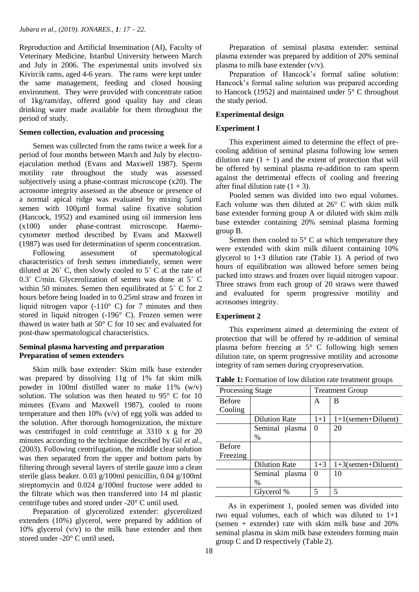Reproduction and Artificial Insemination (AI), Faculty of Veterinary Medicine, Istanbul University between March and July in 2006. The experimental units involved six Kivircik rams, aged 4-6 years. The rams were kept under the same management, feeding and closed housing environment. They were provided with concentrate ration of 1kg/ram/day, offered good quality hay and clean drinking water made available for them throughout the period of study.

#### **Semen collection, evaluation and processing**

Semen was collected from the rams twice a week for a period of four months between March and July by electroejaculation method (Evans and Maxwell 1987). Sperm motility rate throughout the study was assessed subjectively using a phase-contrast microscope (x20). The acrosome integrity assessed as the absence or presence of a normal apical ridge was evaluated by mixing 5µml semen with 100uml formal saline fixative solution (Hancock, 1952) and examined using oil immersion lens (x100) under phase-contrast microscope. Haemocytometer method described by Evans and Maxwell (1987) was used for determination of sperm concentration.

 Following assessment of spermatological characteristics of fresh semen immediately, semen were diluted at  $26^\circ$  C, then slowly cooled to  $5^\circ$  C at the rate of 0.3˚ C/min. Glycerolization of semen was done at 5˚ C within 50 minutes. Semen then equilibrated at 5˚ C for 2 hours before being loaded in to 0.25ml straw and frozen in liquid nitrogen vapor  $(-110^{\circ} \text{ C})$  for 7 minutes and then stored in liquid nitrogen (-196° C). Frozen semen were thawed in water bath at 50° C for 10 sec and evaluated for post-thaw spermatological characteristics.

## **Seminal plasma harvesting and preparation Preparation of semen extenders**

Skim milk base extender: Skim milk base extender was prepared by dissolving 11g of 1% fat skim milk powder in 100ml distilled water to make 11% (w/v) solution. The solution was then heated to 95° C for 10 minutes (Evans and Maxwell 1987), cooled to room temperature and then 10% (v/v) of egg yolk was added to the solution. After thorough homogenization, the mixture was centrifuged in cold centrifuge at 3310 x g for 20 minutes according to the technique described by Gil *et al*., (2003). Following centrifugation, the middle clear solution was then separated from the upper and bottom parts by filtering through several layers of sterile gauze into a clean sterile glass beaker. 0.03 g/100ml penicillin, 0.04 g/100ml streptomycin and 0.024 g/100ml fructose were added to the filtrate which was then transferred into 14 ml plastic centrifuge tubes and stored under -20° C until used.

 Preparation of glycerolized extender: glycerolized extenders (10%) glycerol, were prepared by addition of 10% glycerol (v/v) to the milk base extender and then stored under -20° C until used**.** 

 Preparation of seminal plasma extender: seminal plasma extender was prepared by addition of 20% seminal plasma to milk base extender (v/v).

 Preparation of Hancock's formal saline solution: Hancock's formal saline solution was prepared according to Hancock (1952) and maintained under 5° C throughout the study period.

## **Experimental design**

## **Experiment I**

 This experiment aimed to determine the effect of precooling addition of seminal plasma following low semen dilution rate  $(1 + 1)$  and the extent of protection that will be offered by seminal plasma re-addition to ram sperm against the detrimental effects of cooling and freezing after final dilution rate  $(1 + 3)$ .

 Pooled semen was divided into two equal volumes. Each volume was then diluted at 26° C with skim milk base extender forming group A or diluted with skim milk base extender containing 20% seminal plasma forming group B.

Semen then cooled to  $5^{\circ}$  C at which temperature they were extended with skim milk diluent containing 10% glycerol to 1+3 dilution rate (Table 1). A period of two hours of equilibration was allowed before semen being packed into straws and frozen over liquid nitrogen vapour. Three straws from each group of 20 straws were thawed and evaluated for sperm progressive motility and acrosomes integrity.

#### **Experiment 2**

 This experiment aimed at determining the extent of protection that will be offered by re-addition of seminal plasma before freezing at 5° C following high semen dilution rate, on sperm progressive motility and acrosome integrity of ram semen during cryopreservation.

**Table 1:** Formation of low dilution rate treatment groups

| <b>Processing Stage</b> |                      | <b>Treatment Group</b>           |                       |
|-------------------------|----------------------|----------------------------------|-----------------------|
| <b>Before</b>           |                      | B<br>A                           |                       |
| Cooling                 |                      |                                  |                       |
|                         | <b>Dilution Rate</b> | $1 + 1$<br>$1+1$ (semen+Diluent) |                       |
|                         | Seminal plasma       | 0                                | 20                    |
|                         | $\%$                 |                                  |                       |
| <b>Before</b>           |                      |                                  |                       |
| Freezing                |                      |                                  |                       |
|                         | <b>Dilution Rate</b> | $1 + 3$                          | $1+3$ (semen+Diluent) |
|                         | Seminal plasma       | 0                                | 10                    |
|                         | $\%$                 |                                  |                       |
|                         | Glycerol %           | 5                                | 5                     |

 As in experiment 1, pooled semen was divided into two equal volumes, each of which was diluted to  $1+1$ (semen + extender) rate with skim milk base and 20% seminal plasma in skim milk base extenders forming main group C and D respectively (Table 2).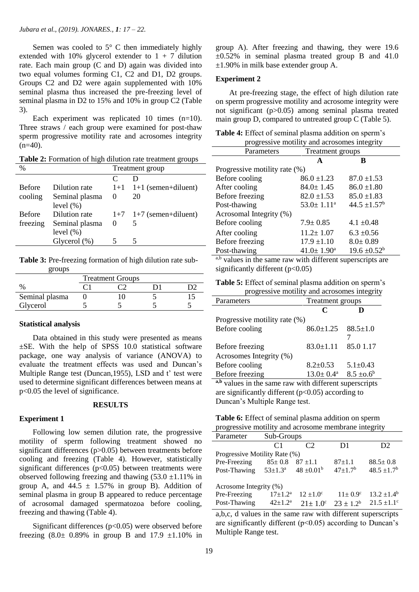Semen was cooled to  $5^{\circ}$  C then immediately highly extended with 10% glycerol extender to  $1 + 7$  dilution rate. Each main group (C and D) again was divided into two equal volumes forming C1, C2 and D1, D2 groups. Groups C2 and D2 were again supplemented with 10% seminal plasma thus increased the pre-freezing level of seminal plasma in D2 to 15% and 10% in group C2 (Table 3).

Each experiment was replicated 10 times (n=10). Three straws / each group were examined for post-thaw sperm progressive motility rate and acrosomes integrity  $(n=40)$ .

**Table 2:** Formation of high dilution rate treatment groups

| $\%$          |                 | Treatment group |                           |  |
|---------------|-----------------|-----------------|---------------------------|--|
|               |                 | $\subset$       |                           |  |
| <b>Before</b> | Dilution rate   |                 | $1+1$ 1+1 (semen+diluent) |  |
| cooling       | Seminal plasma  | $\theta$        | 20                        |  |
|               | level $(\% )$   |                 |                           |  |
| <b>Before</b> | Dilution rate   |                 | $1+7$ 1+7 (semen+diluent) |  |
| freezing      | Seminal plasma  | $\theta$        | 5                         |  |
|               | level $(\% )$   |                 |                           |  |
|               | Glycerol $(\%)$ |                 | 5                         |  |

**Table 3:** Pre-freezing formation of high dilution rate sub groups

|                | <b>Treatment Groups</b> |  |  |  |
|----------------|-------------------------|--|--|--|
|                |                         |  |  |  |
| Seminal plasma |                         |  |  |  |
| Glycerol       |                         |  |  |  |

#### **Statistical analysis**

 Data obtained in this study were presented as means  $\pm$ SE. With the help of SPSS 10.0 statistical software package, one way analysis of variance (ANOVA) to evaluate the treatment effects was used and Duncan's Multiple Range test (Duncan,1955), LSD and t' test were used to determine significant differences between means at p<0.05 the level of significance.

#### **RESULTS**

## **Experiment 1**

 Following low semen dilution rate, the progressive motility of sperm following treatment showed no significant differences (p>0.05) between treatments before cooling and freezing (Table 4). However, statistically significant differences  $(p<0.05)$  between treatments were observed following freezing and thawing  $(53.0 \pm 1.11\%)$  in group A, and  $44.5 \pm 1.57\%$  in group B). Addition of seminal plasma in group B appeared to reduce percentage of acrosomal damaged spermatozoa before cooling, freezing and thawing (Table 4).

Significant differences  $(p<0.05)$  were observed before freezing  $(8.0 \pm 0.89\%$  in group B and  $17.9 \pm 1.10\%$  in

group A). After freezing and thawing, they were 19.6  $\pm 0.52\%$  in seminal plasma treated group B and 41.0 ±1.90% in milk base extender group A.

#### **Experiment 2**

 At pre-freezing stage, the effect of high dilution rate on sperm progressive motility and acrosome integrity were not significant (p>0.05) among seminal plasma treated main group D, compared to untreated group C (Table 5).

**Table 4:** Effect of seminal plasma addition on sperm's

| progressive motility and acrosomes integrity |                         |                   |  |  |
|----------------------------------------------|-------------------------|-------------------|--|--|
| Parameters                                   | Treatment groups        |                   |  |  |
|                                              | A                       | в                 |  |  |
| Progressive motility rate (%)                |                         |                   |  |  |
| Before cooling                               | $86.0 \pm 1.23$         | $87.0 \pm 1.53$   |  |  |
| After cooling                                | $84.0 \pm 1.45$         | $86.0 \pm 1.80$   |  |  |
| Before freezing                              | $82.0 \pm 1.53$         | $85.0 \pm 1.83$   |  |  |
| Post-thawing                                 | $53.0 \pm 1.11^a$       | $44.5 \pm 1.57^b$ |  |  |
| Acrosomal Integrity (%)                      |                         |                   |  |  |
| Before cooling                               | $7.9 \pm 0.85$          | $4.1 \pm 0.48$    |  |  |
| After cooling                                | $11.2 \pm 1.07$         | $6.3 \pm 0.56$    |  |  |
| Before freezing                              | $17.9 \pm 1.10$         | $8.0 \pm 0.89$    |  |  |
| Post-thawing                                 | $41.0 \pm 1.90^{\circ}$ | $19.6 \pm 0.52^b$ |  |  |

<sup>a,b</sup> values in the same raw with different superscripts are significantly different  $(p<0.05)$ 

| Table 5: Effect of seminal plasma addition on sperm's |  |
|-------------------------------------------------------|--|
| progressive motility and acrosomes integrity          |  |

| Parameters                    | <b>Treatment</b> groups   |                 |  |
|-------------------------------|---------------------------|-----------------|--|
|                               | C                         |                 |  |
| Progressive motility rate (%) |                           |                 |  |
| Before cooling                | $86.0 \pm 1.25$           | $88.5 \pm 1.0$  |  |
| Before freezing               | $83.0 \pm 1.11$           | 85.0 1.17       |  |
| Acrosomes Integrity (%)       |                           |                 |  |
| Before cooling                | $8.2 \pm 0.53$            | $5.1 \pm 0.43$  |  |
| Before freezing               | $13.0 \pm 0.4^{\text{a}}$ | $8.5 \pm 0.6^b$ |  |

**a,b** values in the same raw with different superscripts are significantly different  $(p<0.05)$  according to Duncan's Multiple Range test.

| Table 6: Effect of seminal plasma addition on sperm  |  |  |
|------------------------------------------------------|--|--|
| progressive motility and acrosome membrane integrity |  |  |
|                                                      |  |  |

| Parameter                     | Sub-Groups           |                       |                      |                  |  |
|-------------------------------|----------------------|-----------------------|----------------------|------------------|--|
|                               | C <sub>1</sub>       | $\mathcal{C}$         | D1                   | D <sub>2</sub>   |  |
| Progressive Motility Rate (%) |                      |                       |                      |                  |  |
| Pre-Freezing                  | $85 \pm 0.8$         | $87 + 1.1$            | $87+1.1$             | $88.5 \pm 0.8$   |  |
| Post-Thawing                  | $53 \pm 1.3^{\rm a}$ | $48 \pm 0.01^{\rm b}$ | $47+1.7b$            | $48.5 \pm 1.7^b$ |  |
| Acrosome Integrity (%)        |                      |                       |                      |                  |  |
| Pre-Freezing                  | $17 \pm 1.2^a$       | $12 \pm 1.0^{\circ}$  | $11 \pm 0.9^{\circ}$ | $13.2 \pm 1.4^b$ |  |
| Post-Thawing                  | $42 \pm 1.2^a$       | $21 \pm 1.0^{\circ}$  | $23 + 12^b$          | $21.5 \pm 1.1$ ° |  |

a,b,c, d values in the same raw with different superscripts are significantly different ( $p<0.05$ ) according to Duncan's Multiple Range test.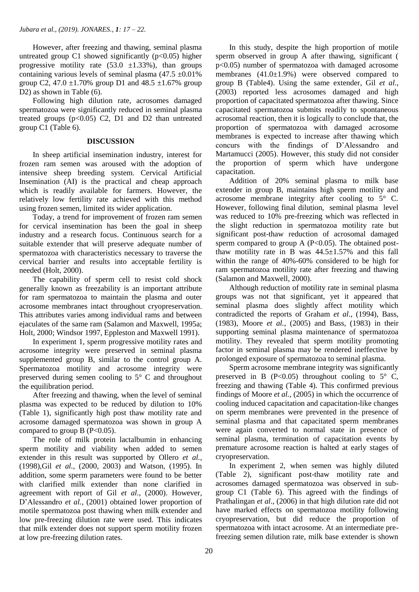However, after freezing and thawing, seminal plasma untreated group C1 showed significantly  $(p<0.05)$  higher progressive motility rate  $(53.0 \pm 1.33\%)$ , than groups containing various levels of seminal plasma  $(47.5 \pm 0.01\%)$ group C2, 47.0  $\pm$ 1.70% group D1 and 48.5  $\pm$ 1.67% group D<sub>2</sub>) as shown in Table (6).

 Following high dilution rate, acrosomes damaged spermatozoa were significantly reduced in seminal plasma treated groups  $(p<0.05)$  C2, D1 and D2 than untreated group C1 (Table 6).

## **DISCUSSION**

 In sheep artificial insemination industry, interest for frozen ram semen was aroused with the adoption of intensive sheep breeding system. Cervical Artificial Insemination (AI) is the practical and cheap approach which is readily available for farmers. However, the relatively low fertility rate achieved with this method using frozen semen, limited its wider application.

 Today, a trend for improvement of frozen ram semen for cervical insemination has been the goal in sheep industry and a research focus. Continuous search for a suitable extender that will preserve adequate number of spermatozoa with characteristics necessary to traverse the cervical barrier and results into acceptable fertility is needed (Holt, 2000).

 The capability of sperm cell to resist cold shock generally known as freezability is an important attribute for ram spermatozoa to maintain the plasma and outer acrosome membranes intact throughout cryopreservation. This attributes varies among individual rams and between ejaculates of the same ram (Salamon and Maxwell, 1995a; Holt, 2000; Windsor 1997, Eppleston and Maxwell 1991).

 In experiment 1, sperm progressive motility rates and acrosome integrity were preserved in seminal plasma supplemented group B, similar to the control group A. Spermatozoa motility and acrosome integrity were preserved during semen cooling to 5° C and throughout the equilibration period.

 After freezing and thawing, when the level of seminal plasma was expected to be reduced by dilution to 10% (Table 1), significantly high post thaw motility rate and acrosome damaged spermatozoa was shown in group A compared to group B  $(P<0.05)$ .

 The role of milk protein lactalbumin in enhancing sperm motility and viability when added to semen extender in this result was supported by Ollero *et al.,* (1998),Gil *et al.,* (2000, 2003) and Watson, (1995). In addition, some sperm parameters were found to be better with clarified milk extender than none clarified in agreement with report of Gil *et al*., (2000). However, D'Alessandro *et al.*, (2001) obtained lower proportion of motile spermatozoa post thawing when milk extender and low pre-freezing dilution rate were used. This indicates that milk extender does not support sperm motility frozen at low pre-freezing dilution rates.

 In this study, despite the high proportion of motile sperm observed in group A after thawing, significant ( p<0.05) number of spermatozoa with damaged acrosome membranes (41.0±1.9%) were observed compared to group B (Table4). Using the same extender, Gil *et al.,* (2003) reported less acrosomes damaged and high proportion of capacitated spermatozoa after thawing. Since capacitated spermatozoa submits readily to spontaneous acrosomal reaction, then it is logically to conclude that, the proportion of spermatozoa with damaged acrosome membranes is expected to increase after thawing which concurs with the findings of D'Alessandro and Martamucci (2005). However, this study did not consider the proportion of sperm which have undergone capacitation.

 Addition of 20% seminal plasma to milk base extender in group B, maintains high sperm motility and acrosome membrane integrity after cooling to 5° C. However, following final dilution, seminal plasma level was reduced to 10% pre-freezing which was reflected in the slight reduction in spermatozoa motility rate but significant post-thaw reduction of acrosomal damaged sperm compared to group A  $(P<0.05)$ . The obtained postthaw motility rate in  $\overline{B}$  was 44.5 $\pm$ 1.57% and this fall within the range of 40%-60% considered to be high for ram spermatozoa motility rate after freezing and thawing (Salamon and Maxwell, 2000).

 Although reduction of motility rate in seminal plasma groups was not that significant, yet it appeared that seminal plasma does slightly affect motility which contradicted the reports of Graham *et al.,* (1994), Bass, (1983), Moore *et al.,* (2005) and Bass, (1983) in their supporting seminal plasma maintenance of spermatozoa motility. They revealed that sperm motility promoting factor in seminal plasma may be rendered ineffective by prolonged exposure of spermatozoa to seminal plasma.

 Sperm acrosome membrane integrity was significantly preserved in B  $(P<0.05)$  throughout cooling to  $5^{\circ}$  C, freezing and thawing (Table 4). This confirmed previous findings of Moore *et al.,* (2005) in which the occurrence of cooling induced capacitation and capacitation-like changes on sperm membranes were prevented in the presence of seminal plasma and that capacitated sperm membranes were again converted to normal state in presence of seminal plasma, termination of capacitation events by premature acrosome reaction is halted at early stages of cryopreservation.

 In experiment 2, when semen was highly diluted (Table 2), significant post-thaw motility rate and acrosomes damaged spermatozoa was observed in subgroup C1 (Table 6). This agreed with the findings of Prathalingan *et al*., (2006) in that high dilution rate did not have marked effects on spermatozoa motility following cryopreservation, but did reduce the proportion of spermatozoa with intact acrosome. At an intermediate prefreezing semen dilution rate, milk base extender is shown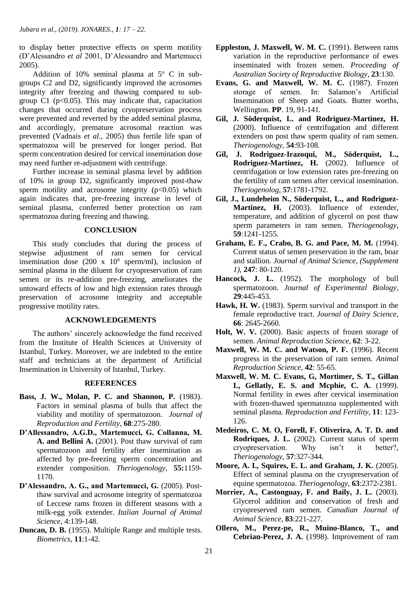to display better protective effects on sperm motility (D'Alessandro *et al* 2001, D'Alessandro and Martemucci 2005).

 Addition of 10% seminal plasma at 5° C in subgroups C2 and D2, significantly improved the acrosomes integrity after freezing and thawing compared to subgroup C1 ( $p<0.05$ ). This may indicate that, capacitation changes that occurred during cryopreservation process were prevented and reverted by the added seminal plasma, and accordingly, premature acrosomal reaction was prevented (Vadnais *et al.,* 2005) thus fertile life span of spermatozoa will be preserved for longer period. But sperm concentration desired for cervical insemination dose may need further re-adjustment with centrifuge.

 Further increase in seminal plasma level by addition of 10% in group D2, significantly improved post-thaw sperm motility and acrosome integrity  $(p<0.05)$  which again indicates that, pre-freezing increase in level of seminal plasma, conferred better protection on ram spermatozoa during freezing and thawing.

## **CONCLUSION**

 This study concludes that during the process of stepwise adjustment of ram semen for cervical insemination dose  $(200 \times 10^6 \text{ sperm/ml})$ , inclusion of seminal plasma in the diluent for cryopreservation of ram semen or its re-addition pre-freezing, ameliorates the untoward effects of low and high extension rates through preservation of acrosome integrity and acceptable progressive motility rates.

## **ACKNOWLEDGEMENTS**

 The authors' sincerely acknowledge the fund received from the Institute of Health Sciences at University of Istanbul, Turkey. Moreover, we are indebted to the entire staff and technicians at the department of Artificial Insemination in University of Istanbul, Turkey.

## **REFERENCES**

- **Bass, J. W., Molan, P. C. and Shannon, P.** (1983). Factors in seminal plasma of bulls that affect the viability and motility of spermatozoon. *Journal of Reproduction and Fertility*, **68**:275-280*.*
- **D'Allessandro, A.G.D., Martemucci, G. Collanna, M. A. and Bellini A.** (2001). Post thaw survival of ram spermatozoon and fertility after insemination as affected by pre-freezing sperm concentration and extender composition. *Theriogenology*, **55:**1159- 1170*.*
- **D'Alessandro, A. G., and Martemucci, G.** (2005). Postthaw survival and acrosome integrity of spermatozoa of Leccese rams frozen in different seasons with a milk-egg yolk extender. *Italian Journal of Animal Science*, 4:139-148.
- **Duncan, D. B.** (1955). Multiple Range and multiple tests. *Biometrics,* **11**:1-42*.*
- **Eppleston, J. Maxwell, W. M. C.** (1991). Between rams variation in the reproductive performance of ewes inseminated with frozen semen. *Proceeding of Australian Society of Reproductive Biology*, **23**:130.
- **Evans, G. and Maxwell, W. M. C.** (1987). Frozen storage of semen. In: Salamon's Artificial Insemination of Sheep and Goats*.* Butter worths, Wellington. **PP**. 19, 91-141*.*
- **Gil, J. Söderquist, L. and Rodriguez-Martinez, H.** (2000). Influence of centrifugation and different extenders on post thaw sperm quality of ram semen. *Theriogenology*, **54**:93-108*.*
- **Gil, J. Rodriguez-Irazoqui, M., Söderquist, L., Rodriguez-Martinez, H.** (2002). Influence of centrifugation or low extension rates pre-freezing on the fertility of ram semen after cervical insemination. *Theriogenolog,* **57**:1781-1792.
- **Gil, J., Lundeheim N., Söderquist, L., and Rodriguez-Martinez, H.** (2003). Influence of extender, temperature, and addition of glycerol on post thaw sperm parameters in ram semen. *Theriogenology,* **59**:1241-1255.
- **Graham, E. F., Crabo, B. G. and Pace, M. M.** (1994). Current status of semen preservation in the ram, boar and stallion. *Journal of Animal Science, (Supplement 1),* **247**: 80-120.
- **Hancock***,* **J. L.** (1952). The morphology of bull spermatozoon. *Journal of Experimental Biology,* **29**:445-453.
- **Hawk, H. W.** (1983). Sperm survival and transport in the female reproductive tract. *Journal of Dairy Science,* **66**: 2645-2660.
- **Holt, W. V.** (2000). Basic aspects of frozen storage of semen. *Animal Reproduction Science*, **62**: 3-22.
- **Maxwell, W. M. C. and Watson, P. F.** (1996). Recent progress in the preservation of ram semen. *Animal Reproduction Science*, **42**: 55-65.
- **Maxwell, W. M. C. Evans, G, Mortimer, S. T., Gillan L, Gellatly, E. S. and Mcphie, C. A.** (1999). Normal fertility in ewes after cervical insemination with frozen-thawed spermatozoa supplemented with seminal plasma. *Reproduction and Fertility*, **11**: 123- 126.
- **Medeiros, C. M. O, Forell, F. Oliverira, A. T. D. and Rodriques, J. L.** (2002). Current status of sperm cryopreservation. Why isn't it better?, *Theriogenology*, **57**:327-344.
- **Moore, A. I., Squires, E. L. and Graham, J. K.** (2005). Effect of seminal plasma on the cryopreservation of equine spermatozoa. *Theriogenology,* **63**:2372-2381.
- **Morrier, A., Castonguay, F. and Baily, J. L.** (2003). Glycerol addition and conservation of fresh and cryopreserved ram semen. *Canadian Journal of Animal Science,* **83**:221-227*.*
- **Ollero, M., Perez-pe, R., Muino-Blanco, T., and Cebrian-Perez, J. A.** (1998). Improvement of ram